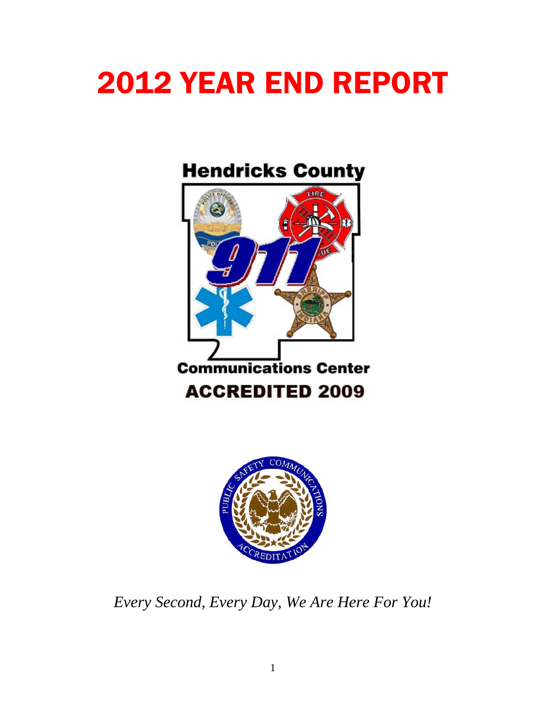# 2012 YEAR END REPORT

# **Hendricks County**





*Every Second, Every Day, We Are Here For You!*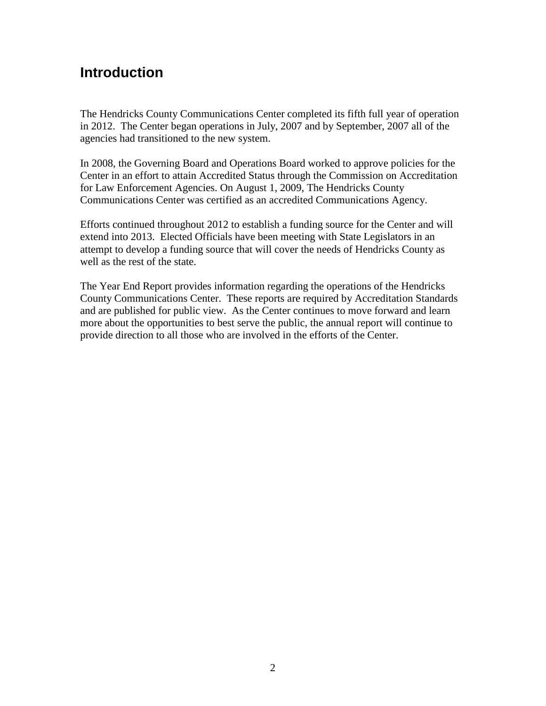## **Introduction**

The Hendricks County Communications Center completed its fifth full year of operation in 2012. The Center began operations in July, 2007 and by September, 2007 all of the agencies had transitioned to the new system.

In 2008, the Governing Board and Operations Board worked to approve policies for the Center in an effort to attain Accredited Status through the Commission on Accreditation for Law Enforcement Agencies. On August 1, 2009, The Hendricks County Communications Center was certified as an accredited Communications Agency.

Efforts continued throughout 2012 to establish a funding source for the Center and will extend into 2013. Elected Officials have been meeting with State Legislators in an attempt to develop a funding source that will cover the needs of Hendricks County as well as the rest of the state.

The Year End Report provides information regarding the operations of the Hendricks County Communications Center. These reports are required by Accreditation Standards and are published for public view. As the Center continues to move forward and learn more about the opportunities to best serve the public, the annual report will continue to provide direction to all those who are involved in the efforts of the Center.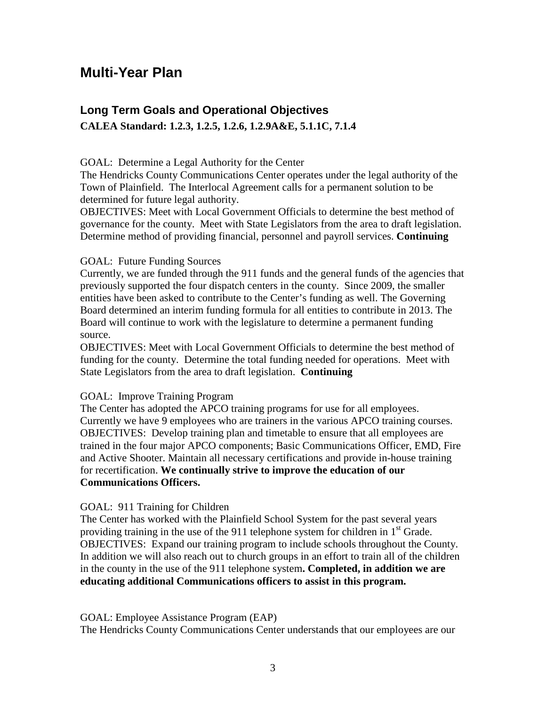## **Multi-Year Plan**

#### **Long Term Goals and Operational Objectives CALEA Standard: 1.2.3, 1.2.5, 1.2.6, 1.2.9A&E, 5.1.1C, 7.1.4**

#### GOAL: Determine a Legal Authority for the Center

The Hendricks County Communications Center operates under the legal authority of the Town of Plainfield. The Interlocal Agreement calls for a permanent solution to be determined for future legal authority.

OBJECTIVES: Meet with Local Government Officials to determine the best method of governance for the county. Meet with State Legislators from the area to draft legislation. Determine method of providing financial, personnel and payroll services. **Continuing**

#### GOAL: Future Funding Sources

Currently, we are funded through the 911 funds and the general funds of the agencies that previously supported the four dispatch centers in the county. Since 2009, the smaller entities have been asked to contribute to the Center's funding as well. The Governing Board determined an interim funding formula for all entities to contribute in 2013. The Board will continue to work with the legislature to determine a permanent funding source.

OBJECTIVES: Meet with Local Government Officials to determine the best method of funding for the county. Determine the total funding needed for operations. Meet with State Legislators from the area to draft legislation. **Continuing**

#### GOAL: Improve Training Program

The Center has adopted the APCO training programs for use for all employees. Currently we have 9 employees who are trainers in the various APCO training courses. OBJECTIVES: Develop training plan and timetable to ensure that all employees are trained in the four major APCO components; Basic Communications Officer, EMD, Fire and Active Shooter. Maintain all necessary certifications and provide in-house training for recertification. **We continually strive to improve the education of our Communications Officers.**

#### GOAL: 911 Training for Children

The Center has worked with the Plainfield School System for the past several years providing training in the use of the 911 telephone system for children in  $1<sup>st</sup>$  Grade. OBJECTIVES: Expand our training program to include schools throughout the County. In addition we will also reach out to church groups in an effort to train all of the children in the county in the use of the 911 telephone system**. Completed, in addition we are educating additional Communications officers to assist in this program.**

GOAL: Employee Assistance Program (EAP)

The Hendricks County Communications Center understands that our employees are our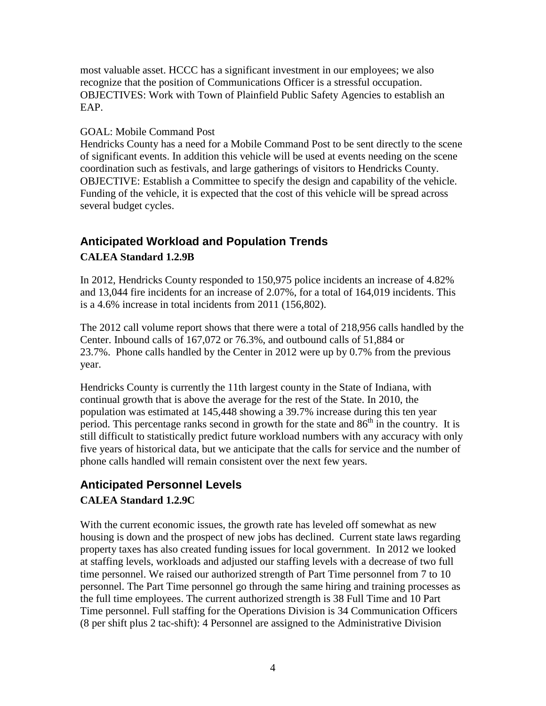most valuable asset. HCCC has a significant investment in our employees; we also recognize that the position of Communications Officer is a stressful occupation. OBJECTIVES: Work with Town of Plainfield Public Safety Agencies to establish an EAP.

#### GOAL: Mobile Command Post

Hendricks County has a need for a Mobile Command Post to be sent directly to the scene of significant events. In addition this vehicle will be used at events needing on the scene coordination such as festivals, and large gatherings of visitors to Hendricks County. OBJECTIVE: Establish a Committee to specify the design and capability of the vehicle. Funding of the vehicle, it is expected that the cost of this vehicle will be spread across several budget cycles.

# **Anticipated Workload and Population Trends**

#### **CALEA Standard 1.2.9B**

In 2012, Hendricks County responded to 150,975 police incidents an increase of 4.82% and 13,044 fire incidents for an increase of 2.07%, for a total of 164,019 incidents. This is a 4.6% increase in total incidents from 2011 (156,802).

The 2012 call volume report shows that there were a total of 218,956 calls handled by the Center. Inbound calls of 167,072 or 76.3%, and outbound calls of 51,884 or 23.7%. Phone calls handled by the Center in 2012 were up by 0.7% from the previous year.

Hendricks County is currently the 11th largest county in the State of Indiana, with continual growth that is above the average for the rest of the State. In 2010, the population was estimated at 145,448 showing a 39.7% increase during this ten year period. This percentage ranks second in growth for the state and  $86<sup>th</sup>$  in the country. It is still difficult to statistically predict future workload numbers with any accuracy with only five years of historical data, but we anticipate that the calls for service and the number of phone calls handled will remain consistent over the next few years.

#### **Anticipated Personnel Levels CALEA Standard 1.2.9C**

With the current economic issues, the growth rate has leveled off somewhat as new housing is down and the prospect of new jobs has declined. Current state laws regarding property taxes has also created funding issues for local government. In 2012 we looked at staffing levels, workloads and adjusted our staffing levels with a decrease of two full time personnel. We raised our authorized strength of Part Time personnel from 7 to 10 personnel. The Part Time personnel go through the same hiring and training processes as the full time employees. The current authorized strength is 38 Full Time and 10 Part Time personnel. Full staffing for the Operations Division is 34 Communication Officers (8 per shift plus 2 tac-shift): 4 Personnel are assigned to the Administrative Division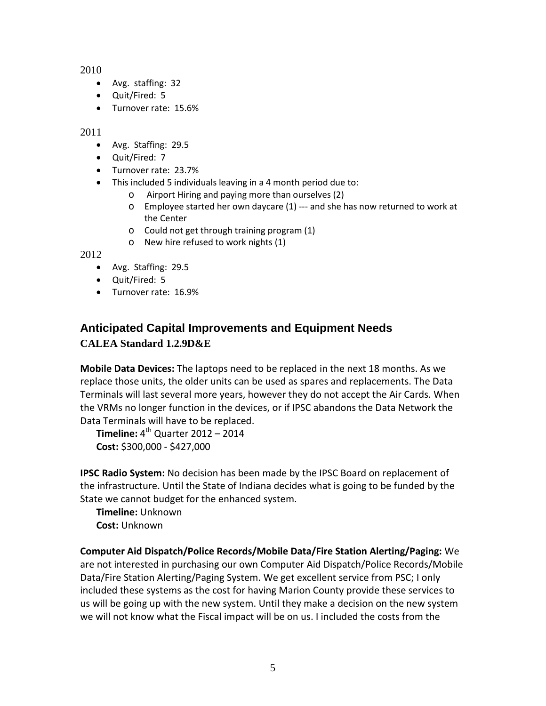2010

- Avg. staffing: 32
- Quit/Fired: 5
- Turnover rate: 15.6%

2011

- Avg. Staffing: 29.5
- Quit/Fired: 7
- Turnover rate: 23.7%
- This included 5 individuals leaving in a 4 month period due to:
	- Airport Hiring and paying more than ourselves (2)
	- o Employee started her own daycare (1) --- and she has now returned to work at the Center
	- o Could not get through training program (1)
	- o New hire refused to work nights (1)

2012

- Avg. Staffing: 29.5
- Quit/Fired: 5
- Turnover rate: 16.9%

## **Anticipated Capital Improvements and Equipment Needs CALEA Standard 1.2.9D&E**

**Mobile Data Devices:** The laptops need to be replaced in the next 18 months. As we replace those units, the older units can be used as spares and replacements. The Data Terminals will last several more years, however they do not accept the Air Cards. When the VRMs no longer function in the devices, or if IPSC abandons the Data Network the Data Terminals will have to be replaced.

**Timeline:**  $4^{th}$  Quarter 2012 – 2014 **Cost:** \$300,000 - \$427,000

**IPSC Radio System:** No decision has been made by the IPSC Board on replacement of the infrastructure. Until the State of Indiana decides what is going to be funded by the State we cannot budget for the enhanced system.

**Timeline:** Unknown **Cost:** Unknown

**Computer Aid Dispatch/Police Records/Mobile Data/Fire Station Alerting/Paging:** We are not interested in purchasing our own Computer Aid Dispatch/Police Records/Mobile Data/Fire Station Alerting/Paging System. We get excellent service from PSC; I only included these systems as the cost for having Marion County provide these services to us will be going up with the new system. Until they make a decision on the new system we will not know what the Fiscal impact will be on us. I included the costs from the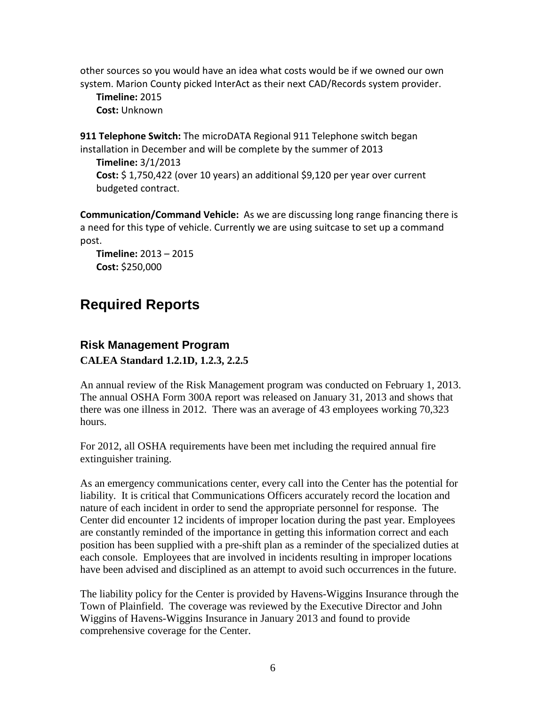other sources so you would have an idea what costs would be if we owned our own system. Marion County picked InterAct as their next CAD/Records system provider.

**Timeline:** 2015 **Cost:** Unknown

**911 Telephone Switch:** The microDATA Regional 911 Telephone switch began installation in December and will be complete by the summer of 2013

**Timeline:** 3/1/2013 **Cost:** \$ 1,750,422 (over 10 years) an additional \$9,120 per year over current budgeted contract.

**Communication/Command Vehicle:** As we are discussing long range financing there is a need for this type of vehicle. Currently we are using suitcase to set up a command post.

**Timeline:** 2013 – 2015 **Cost:** \$250,000

# **Required Reports**

### **Risk Management Program CALEA Standard 1.2.1D, 1.2.3, 2.2.5**

An annual review of the Risk Management program was conducted on February 1, 2013. The annual OSHA Form 300A report was released on January 31, 2013 and shows that there was one illness in 2012. There was an average of 43 employees working 70,323 hours.

For 2012, all OSHA requirements have been met including the required annual fire extinguisher training.

As an emergency communications center, every call into the Center has the potential for liability. It is critical that Communications Officers accurately record the location and nature of each incident in order to send the appropriate personnel for response. The Center did encounter 12 incidents of improper location during the past year. Employees are constantly reminded of the importance in getting this information correct and each position has been supplied with a pre-shift plan as a reminder of the specialized duties at each console. Employees that are involved in incidents resulting in improper locations have been advised and disciplined as an attempt to avoid such occurrences in the future.

The liability policy for the Center is provided by Havens-Wiggins Insurance through the Town of Plainfield. The coverage was reviewed by the Executive Director and John Wiggins of Havens-Wiggins Insurance in January 2013 and found to provide comprehensive coverage for the Center.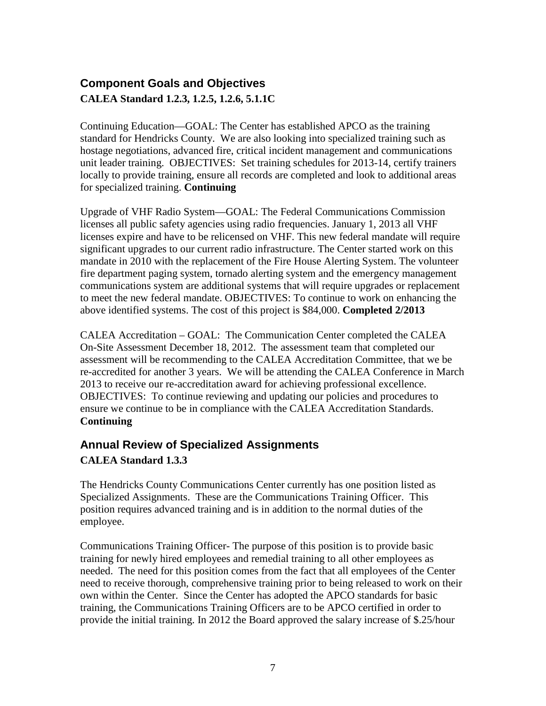## **Component Goals and Objectives CALEA Standard 1.2.3, 1.2.5, 1.2.6, 5.1.1C**

Continuing Education—GOAL: The Center has established APCO as the training standard for Hendricks County. We are also looking into specialized training such as hostage negotiations, advanced fire, critical incident management and communications unit leader training. OBJECTIVES: Set training schedules for 2013-14, certify trainers locally to provide training, ensure all records are completed and look to additional areas for specialized training. **Continuing**

Upgrade of VHF Radio System—GOAL: The Federal Communications Commission licenses all public safety agencies using radio frequencies. January 1, 2013 all VHF licenses expire and have to be relicensed on VHF. This new federal mandate will require significant upgrades to our current radio infrastructure. The Center started work on this mandate in 2010 with the replacement of the Fire House Alerting System. The volunteer fire department paging system, tornado alerting system and the emergency management communications system are additional systems that will require upgrades or replacement to meet the new federal mandate. OBJECTIVES: To continue to work on enhancing the above identified systems. The cost of this project is \$84,000. **Completed 2/2013**

CALEA Accreditation – GOAL: The Communication Center completed the CALEA On-Site Assessment December 18, 2012. The assessment team that completed our assessment will be recommending to the CALEA Accreditation Committee, that we be re-accredited for another 3 years. We will be attending the CALEA Conference in March 2013 to receive our re-accreditation award for achieving professional excellence. OBJECTIVES: To continue reviewing and updating our policies and procedures to ensure we continue to be in compliance with the CALEA Accreditation Standards. **Continuing**

#### **Annual Review of Specialized Assignments**

#### **CALEA Standard 1.3.3**

The Hendricks County Communications Center currently has one position listed as Specialized Assignments. These are the Communications Training Officer. This position requires advanced training and is in addition to the normal duties of the employee.

Communications Training Officer- The purpose of this position is to provide basic training for newly hired employees and remedial training to all other employees as needed. The need for this position comes from the fact that all employees of the Center need to receive thorough, comprehensive training prior to being released to work on their own within the Center. Since the Center has adopted the APCO standards for basic training, the Communications Training Officers are to be APCO certified in order to provide the initial training. In 2012 the Board approved the salary increase of \$.25/hour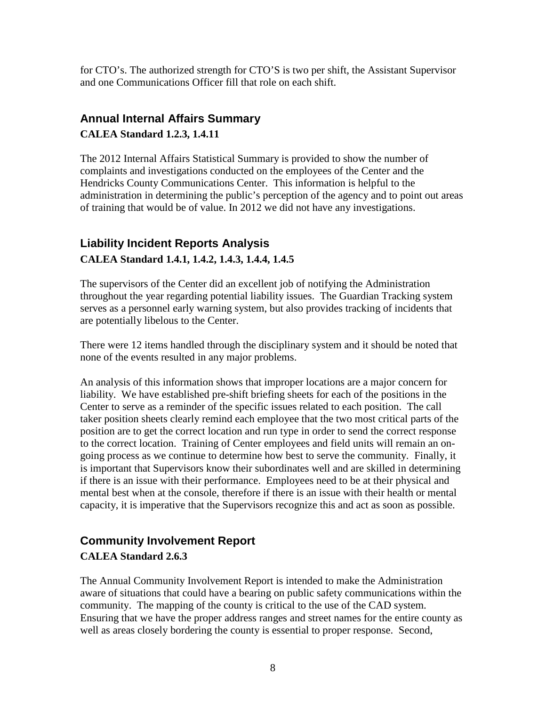for CTO's. The authorized strength for CTO'S is two per shift, the Assistant Supervisor and one Communications Officer fill that role on each shift.

### **Annual Internal Affairs Summary CALEA Standard 1.2.3, 1.4.11**

The 2012 Internal Affairs Statistical Summary is provided to show the number of complaints and investigations conducted on the employees of the Center and the Hendricks County Communications Center. This information is helpful to the administration in determining the public's perception of the agency and to point out areas of training that would be of value. In 2012 we did not have any investigations.

#### **Liability Incident Reports Analysis CALEA Standard 1.4.1, 1.4.2, 1.4.3, 1.4.4, 1.4.5**

The supervisors of the Center did an excellent job of notifying the Administration throughout the year regarding potential liability issues. The Guardian Tracking system serves as a personnel early warning system, but also provides tracking of incidents that are potentially libelous to the Center.

There were 12 items handled through the disciplinary system and it should be noted that none of the events resulted in any major problems.

An analysis of this information shows that improper locations are a major concern for liability. We have established pre-shift briefing sheets for each of the positions in the Center to serve as a reminder of the specific issues related to each position. The call taker position sheets clearly remind each employee that the two most critical parts of the position are to get the correct location and run type in order to send the correct response to the correct location. Training of Center employees and field units will remain an ongoing process as we continue to determine how best to serve the community. Finally, it is important that Supervisors know their subordinates well and are skilled in determining if there is an issue with their performance. Employees need to be at their physical and mental best when at the console, therefore if there is an issue with their health or mental capacity, it is imperative that the Supervisors recognize this and act as soon as possible.

# **Community Involvement Report**

#### **CALEA Standard 2.6.3**

The Annual Community Involvement Report is intended to make the Administration aware of situations that could have a bearing on public safety communications within the community. The mapping of the county is critical to the use of the CAD system. Ensuring that we have the proper address ranges and street names for the entire county as well as areas closely bordering the county is essential to proper response. Second,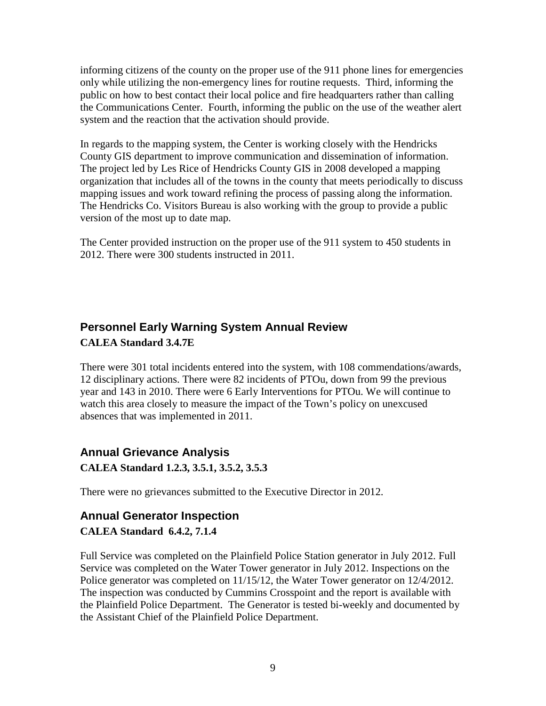informing citizens of the county on the proper use of the 911 phone lines for emergencies only while utilizing the non-emergency lines for routine requests. Third, informing the public on how to best contact their local police and fire headquarters rather than calling the Communications Center. Fourth, informing the public on the use of the weather alert system and the reaction that the activation should provide.

In regards to the mapping system, the Center is working closely with the Hendricks County GIS department to improve communication and dissemination of information. The project led by Les Rice of Hendricks County GIS in 2008 developed a mapping organization that includes all of the towns in the county that meets periodically to discuss mapping issues and work toward refining the process of passing along the information. The Hendricks Co. Visitors Bureau is also working with the group to provide a public version of the most up to date map.

The Center provided instruction on the proper use of the 911 system to 450 students in 2012. There were 300 students instructed in 2011.

## **Personnel Early Warning System Annual Review CALEA Standard 3.4.7E**

There were 301 total incidents entered into the system, with 108 commendations/awards, 12 disciplinary actions. There were 82 incidents of PTOu, down from 99 the previous year and 143 in 2010. There were 6 Early Interventions for PTOu. We will continue to watch this area closely to measure the impact of the Town's policy on unexcused absences that was implemented in 2011.

#### **Annual Grievance Analysis CALEA Standard 1.2.3, 3.5.1, 3.5.2, 3.5.3**

There were no grievances submitted to the Executive Director in 2012.

#### **Annual Generator Inspection CALEA Standard 6.4.2, 7.1.4**

Full Service was completed on the Plainfield Police Station generator in July 2012. Full Service was completed on the Water Tower generator in July 2012. Inspections on the Police generator was completed on 11/15/12, the Water Tower generator on 12/4/2012. The inspection was conducted by Cummins Crosspoint and the report is available with the Plainfield Police Department. The Generator is tested bi-weekly and documented by the Assistant Chief of the Plainfield Police Department.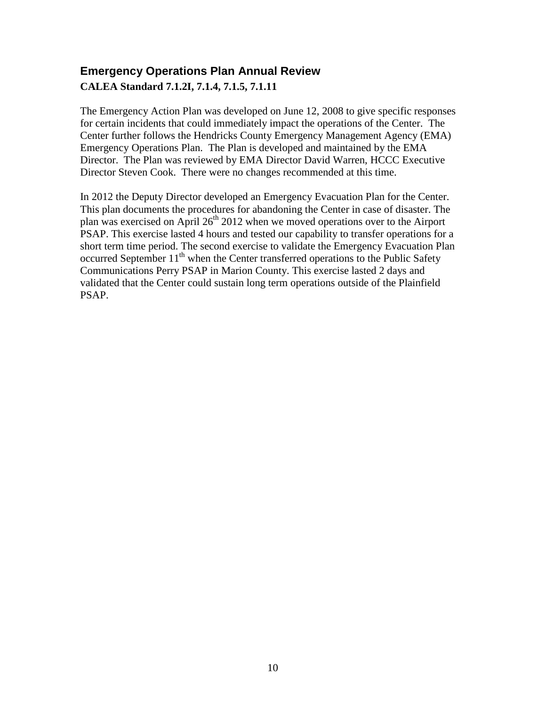### **Emergency Operations Plan Annual Review CALEA Standard 7.1.2I, 7.1.4, 7.1.5, 7.1.11**

The Emergency Action Plan was developed on June 12, 2008 to give specific responses for certain incidents that could immediately impact the operations of the Center. The Center further follows the Hendricks County Emergency Management Agency (EMA) Emergency Operations Plan. The Plan is developed and maintained by the EMA Director. The Plan was reviewed by EMA Director David Warren, HCCC Executive Director Steven Cook. There were no changes recommended at this time.

In 2012 the Deputy Director developed an Emergency Evacuation Plan for the Center. This plan documents the procedures for abandoning the Center in case of disaster. The plan was exercised on April 26th 2012 when we moved operations over to the Airport PSAP. This exercise lasted 4 hours and tested our capability to transfer operations for a short term time period. The second exercise to validate the Emergency Evacuation Plan occurred September  $11<sup>th</sup>$  when the Center transferred operations to the Public Safety Communications Perry PSAP in Marion County. This exercise lasted 2 days and validated that the Center could sustain long term operations outside of the Plainfield PSAP.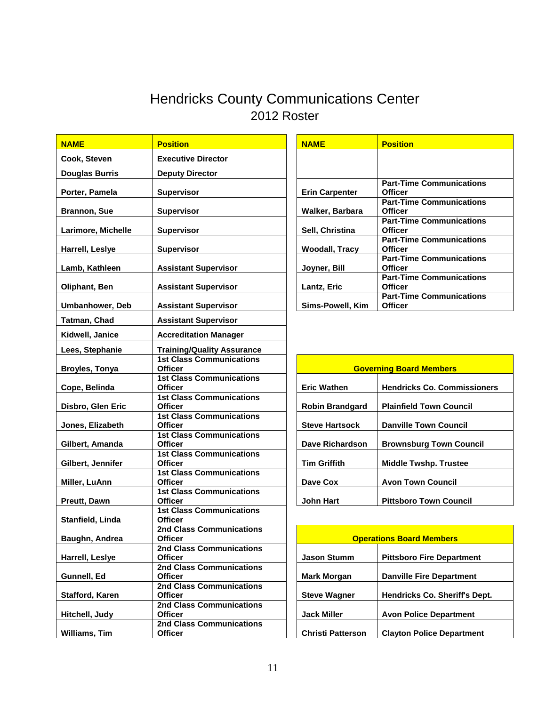# Hendricks County Communications Center 2012 Roster

| <b>NAME</b>            | <b>Position</b>                                   | <b>NAME</b>              | <b>Position</b>                               |
|------------------------|---------------------------------------------------|--------------------------|-----------------------------------------------|
| Cook, Steven           | <b>Executive Director</b>                         |                          |                                               |
| <b>Douglas Burris</b>  | <b>Deputy Director</b>                            |                          |                                               |
| Porter, Pamela         | <b>Supervisor</b>                                 | <b>Erin Carpenter</b>    | <b>Part-Tim</b><br><b>Officer</b>             |
| <b>Brannon, Sue</b>    | <b>Supervisor</b>                                 | Walker, Barbara          | Part-Tim<br><b>Officer</b>                    |
| Larimore, Michelle     | <b>Supervisor</b>                                 | Sell, Christina          | <b>Part-Tim</b><br><b>Officer</b><br>Part-Tim |
| Harrell, Leslye        | <b>Supervisor</b>                                 | <b>Woodall, Tracy</b>    | <b>Officer</b><br><b>Part-Tim</b>             |
| Lamb, Kathleen         | <b>Assistant Supervisor</b>                       | Joyner, Bill             | <b>Officer</b><br><b>Part-Tim</b>             |
| Oliphant, Ben          | <b>Assistant Supervisor</b>                       | Lantz, Eric              | <b>Officer</b>                                |
| <b>Umbanhower, Deb</b> | <b>Assistant Supervisor</b>                       | Sims-Powell, Kim         | <b>Part-Tim</b><br><b>Officer</b>             |
| <b>Tatman, Chad</b>    | <b>Assistant Supervisor</b>                       |                          |                                               |
| Kidwell, Janice        | <b>Accreditation Manager</b>                      |                          |                                               |
| Lees, Stephanie        | <b>Training/Quality Assurance</b>                 |                          |                                               |
| Broyles, Tonya         | <b>1st Class Communications</b><br><b>Officer</b> |                          | <b>Governing Boar</b>                         |
| Cope, Belinda          | <b>1st Class Communications</b><br><b>Officer</b> | <b>Eric Wathen</b>       | Hendricl                                      |
| Disbro, Glen Eric      | <b>1st Class Communications</b><br><b>Officer</b> | <b>Robin Brandgard</b>   | <b>Plainfiel</b>                              |
| Jones, Elizabeth       | <b>1st Class Communications</b><br><b>Officer</b> | <b>Steve Hartsock</b>    | <b>Danville</b>                               |
| Gilbert, Amanda        | <b>1st Class Communications</b><br><b>Officer</b> | <b>Dave Richardson</b>   | <b>Brownsl</b>                                |
| Gilbert, Jennifer      | <b>1st Class Communications</b><br><b>Officer</b> | <b>Tim Griffith</b>      | <b>Middle T</b>                               |
| Miller, LuAnn          | <b>1st Class Communications</b><br><b>Officer</b> | Dave Cox                 | Avon To                                       |
| Preutt, Dawn           | <b>1st Class Communications</b><br><b>Officer</b> | <b>John Hart</b>         | Pittsbor                                      |
|                        | <b>1st Class Communications</b><br><b>Officer</b> |                          |                                               |
| Stanfield, Linda       | <b>2nd Class Communications</b>                   |                          |                                               |
| Baughn, Andrea         | Officer                                           |                          | <u> Operations Boar</u>                       |
| Harrell, Leslye        | <b>2nd Class Communications</b><br><b>Officer</b> | <b>Jason Stumm</b>       | Pittsbor                                      |
| Gunnell, Ed            | <b>2nd Class Communications</b><br><b>Officer</b> | <b>Mark Morgan</b>       | <b>Danville</b>                               |
| Stafford, Karen        | <b>2nd Class Communications</b><br><b>Officer</b> | <b>Steve Wagner</b>      | Hendricl                                      |
| Hitchell, Judy         | 2nd Class Communications<br><b>Officer</b>        | <b>Jack Miller</b>       | <b>Avon Po</b>                                |
| Williams, Tim          | <b>2nd Class Communications</b><br><b>Officer</b> | <b>Christi Patterson</b> | Clayton                                       |
|                        |                                                   |                          |                                               |

| <b>NAME</b>           | <b>Position</b>                 |
|-----------------------|---------------------------------|
|                       |                                 |
|                       |                                 |
|                       | <b>Part-Time Communications</b> |
| <b>Erin Carpenter</b> | <b>Officer</b>                  |
|                       | <b>Part-Time Communications</b> |
| Walker, Barbara       | <b>Officer</b>                  |
|                       | <b>Part-Time Communications</b> |
| Sell, Christina       | <b>Officer</b>                  |
|                       | <b>Part-Time Communications</b> |
| <b>Woodall, Tracy</b> | <b>Officer</b>                  |
|                       | <b>Part-Time Communications</b> |
| Joyner, Bill          | <b>Officer</b>                  |
|                       | <b>Part-Time Communications</b> |
| <b>Lantz, Eric</b>    | <b>Officer</b>                  |
|                       | <b>Part-Time Communications</b> |
| Sims-Powell, Kim      | <b>Officer</b>                  |

| <b>1st Class Communications</b><br>Officer        | <b>Governing Board Members</b> |                                    |
|---------------------------------------------------|--------------------------------|------------------------------------|
| <b>1st Class Communications</b><br><b>Officer</b> | <b>Eric Wathen</b>             | <b>Hendricks Co. Commissioners</b> |
| <b>1st Class Communications</b>                   |                                |                                    |
| <b>Officer</b>                                    | <b>Robin Brandgard</b>         | <b>Plainfield Town Council</b>     |
| <b>1st Class Communications</b>                   |                                |                                    |
| <b>Officer</b>                                    | <b>Steve Hartsock</b>          | <b>Danville Town Council</b>       |
| <b>1st Class Communications</b>                   |                                |                                    |
| <b>Officer</b>                                    | <b>Dave Richardson</b>         | <b>Brownsburg Town Council</b>     |
| <b>1st Class Communications</b>                   |                                |                                    |
| <b>Officer</b>                                    | <b>Tim Griffith</b>            | <b>Middle Twshp. Trustee</b>       |
| <b>1st Class Communications</b>                   |                                |                                    |
| Officer                                           | Dave Cox                       | <b>Avon Town Council</b>           |
| <b>1st Class Communications</b>                   |                                |                                    |
| <b>Officer</b>                                    | <b>John Hart</b>               | <b>Pittsboro Town Council</b>      |
|                                                   |                                |                                    |

| 2nd Class Communications        |                          |                                      |  |  |
|---------------------------------|--------------------------|--------------------------------------|--|--|
| <b>Officer</b>                  |                          | <b>Operations Board Members</b>      |  |  |
| <b>2nd Class Communications</b> |                          |                                      |  |  |
| <b>Officer</b>                  | <b>Jason Stumm</b>       | <b>Pittsboro Fire Department</b>     |  |  |
| 2nd Class Communications        |                          |                                      |  |  |
| <b>Officer</b>                  | <b>Mark Morgan</b>       | <b>Danville Fire Department</b>      |  |  |
| <b>2nd Class Communications</b> |                          |                                      |  |  |
| <b>Officer</b>                  | <b>Steve Wagner</b>      | <b>Hendricks Co. Sheriff's Dept.</b> |  |  |
| 2nd Class Communications        |                          |                                      |  |  |
| Officer                         | <b>Jack Miller</b>       | <b>Avon Police Department</b>        |  |  |
| 2nd Class Communications        |                          |                                      |  |  |
| <b>Officer</b>                  | <b>Christi Patterson</b> | <b>Clayton Police Department</b>     |  |  |
|                                 |                          |                                      |  |  |